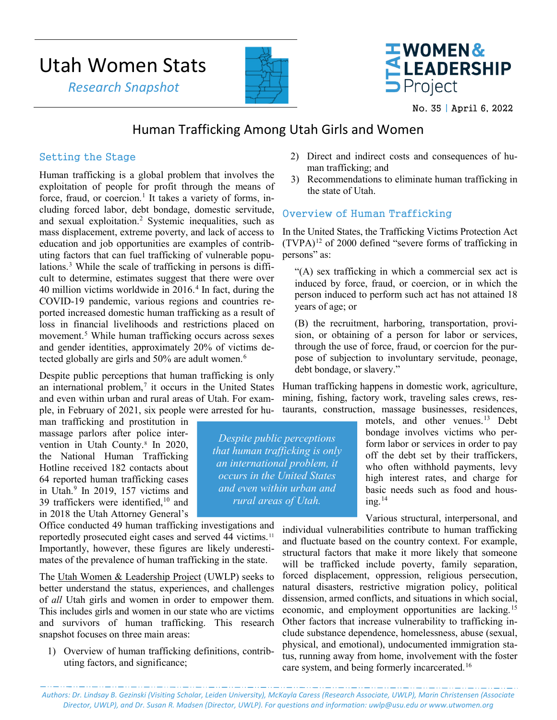# Utah Women Stats

 *Research Snapshot*





No. 35 | April 6, 2022

# Human Trafficking Among Utah Girls and Women

# Setting the Stage

Human trafficking is a global problem that involves the exploitation of people for profit through the means of force, fraud, or coercion.<sup>1</sup> It takes a variety of forms, including forced labor, debt bondage, domestic servitude, and sexual exploitation.[2](#page-3-1) Systemic inequalities, such as mass displacement, extreme poverty, and lack of access to education and job opportunities are examples of contributing factors that can fuel trafficking of vulnerable popu-lations.<sup>[3](#page-3-2)</sup> While the scale of trafficking in persons is difficult to determine, estimates suggest that there were over [4](#page-3-3)0 million victims worldwide in  $2016<sup>4</sup>$  In fact, during the COVID-19 pandemic, various regions and countries reported increased domestic human trafficking as a result of loss in financial livelihoods and restrictions placed on movement. [5](#page-3-4) While human trafficking occurs across sexes and gender identities, approximately 20% of victims de-tected globally are girls and 50% are adult women.<sup>[6](#page-3-5)</sup>

Despite public perceptions that human trafficking is only an international problem, $\frac{7}{1}$  $\frac{7}{1}$  $\frac{7}{1}$  it occurs in the United States and even within urban and rural areas of Utah. For example, in February of 2021, six people were arrested for hu-

man trafficking and prostitution in massage parlors after police inter-vention in Utah County.<sup>[8](#page-3-7)</sup> In 2020, the National Human Trafficking Hotline received 182 contacts about 64 reported human trafficking cases in Utah. [9](#page-3-8) In 2019, 157 victims and 39 traffickers were identified, [10](#page-3-9) and in 2018 the Utah Attorney General's

Office conducted 49 human trafficking investigations and reportedly prosecuted eight cases and served 44 victims.<sup>[11](#page-4-0)</sup> Importantly, however, these figures are likely underestimates of the prevalence of human trafficking in the state.

The Utah Women & Leadership Project (UWLP) seeks to better understand the status, experiences, and challenges of *all* Utah girls and women in order to empower them. This includes girls and women in our state who are victims and survivors of human trafficking. This research snapshot focuses on three main areas:

1) Overview of human trafficking definitions, contributing factors, and significance;

- 2) Direct and indirect costs and consequences of human trafficking; and
- 3) Recommendations to eliminate human trafficking in the state of Utah.

# Overview of Human Trafficking

In the United States, the Trafficking Victims Protection Act  $(TVPA)^{12}$  $(TVPA)^{12}$  $(TVPA)^{12}$  of 2000 defined "severe forms of trafficking in persons" as:

"(A) sex trafficking in which a commercial sex act is induced by force, fraud, or coercion, or in which the person induced to perform such act has not attained 18 years of age; or

(B) the recruitment, harboring, transportation, provision, or obtaining of a person for labor or services, through the use of force, fraud, or coercion for the purpose of subjection to involuntary servitude, peonage, debt bondage, or slavery."

Human trafficking happens in domestic work, agriculture, mining, fishing, factory work, traveling sales crews, restaurants, construction, massage businesses, residences,

> motels, and other venues. [13](#page-4-2) Debt bondage involves victims who perform labor or services in order to pay off the debt set by their traffickers, who often withhold payments, levy high interest rates, and charge for basic needs such as food and hous- $ine.<sup>14</sup>$  $ine.<sup>14</sup>$  $ine.<sup>14</sup>$

Various structural, interpersonal, and

individual vulnerabilities contribute to human trafficking and fluctuate based on the country context. For example, structural factors that make it more likely that someone will be trafficked include poverty, family separation, forced displacement, oppression, religious persecution, natural disasters, restrictive migration policy, political dissension, armed conflicts, and situations in which social, economic, and employment opportunities are lacking.[15](#page-4-4) Other factors that increase vulnerability to trafficking include substance dependence, homelessness, abuse (sexual, physical, and emotional), undocumented immigration status, running away from home, involvement with the foster care system, and being formerly incarcerated.[16](#page-4-5) 

*Authors: Dr. Lindsay B. Gezinski (Visiting Scholar, Leiden University), McKayla Caress (Research Associate, UWLP), Marin Christensen (Associate Director, UWLP), and Dr. Susan R. Madsen (Director, UWLP). For questions and information[: uwlp@usu.edu](mailto:uwlp@usu.edu) or [www.utwomen.org](http://www.utwomen.org/)*

*Despite public perceptions that human trafficking is only an international problem, it occurs in the United States and even within urban and rural areas of Utah.*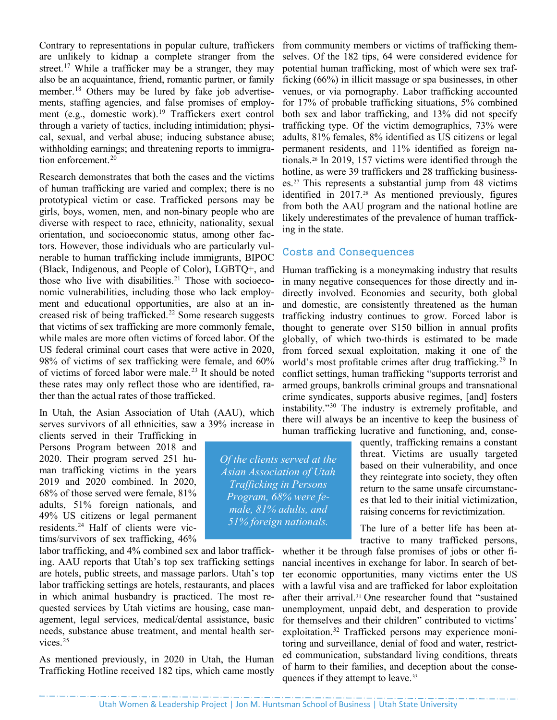Contrary to representations in popular culture, traffickers are unlikely to kidnap a complete stranger from the street.<sup>[17](#page-4-6)</sup> While a trafficker may be a stranger, they may also be an acquaintance, friend, romantic partner, or family member.<sup>[18](#page-4-7)</sup> Others may be lured by fake job advertisements, staffing agencies, and false promises of employment (e.g., domestic work). [19](#page-4-8) Traffickers exert control through a variety of tactics, including intimidation; physical, sexual, and verbal abuse; inducing substance abuse; withholding earnings; and threatening reports to immigra-tion enforcement.<sup>[20](#page-4-9)</sup>

Research demonstrates that both the cases and the victims of human trafficking are varied and complex; there is no prototypical victim or case. Trafficked persons may be girls, boys, women, men, and non-binary people who are diverse with respect to race, ethnicity, nationality, sexual orientation, and socioeconomic status, among other factors. However, those individuals who are particularly vulnerable to human trafficking include immigrants, BIPOC (Black, Indigenous, and People of Color), LGBTQ+, and those who live with disabilities. [21](#page-4-10) Those with socioeconomic vulnerabilities, including those who lack employment and educational opportunities, are also at an in-creased risk of being trafficked.<sup>[22](#page-4-11)</sup> Some research suggests that victims of sex trafficking are more commonly female, while males are more often victims of forced labor. Of the US federal criminal court cases that were active in 2020, 98% of victims of sex trafficking were female, and 60% of victims of forced labor were male. [23](#page-4-12) It should be noted these rates may only reflect those who are identified, rather than the actual rates of those trafficked.

In Utah, the Asian Association of Utah (AAU), which serves survivors of all ethnicities, saw a 39% increase in

clients served in their Trafficking in Persons Program between 2018 and 2020. Their program served 251 human trafficking victims in the years 2019 and 2020 combined. In 2020, 68% of those served were female, 81% adults, 51% foreign nationals, and 49% US citizens or legal permanent residents.[24](#page-4-13) Half of clients were victims/survivors of sex trafficking, 46%

labor trafficking, and 4% combined sex and labor trafficking. AAU reports that Utah's top sex trafficking settings are hotels, public streets, and massage parlors. Utah's top labor trafficking settings are hotels, restaurants, and places in which animal husbandry is practiced. The most requested services by Utah victims are housing, case management, legal services, medical/dental assistance, basic needs, substance abuse treatment, and mental health services.[25](#page-4-14)

As mentioned previously, in 2020 in Utah, the Human Trafficking Hotline received 182 tips, which came mostly

from community members or victims of trafficking themselves. Of the 182 tips, 64 were considered evidence for potential human trafficking, most of which were sex trafficking (66%) in illicit massage or spa businesses, in other venues, or via pornography. Labor trafficking accounted for 17% of probable trafficking situations, 5% combined both sex and labor trafficking, and 13% did not specify trafficking type. Of the victim demographics, 73% were adults, 81% females, 8% identified as US citizens or legal permanent residents, and 11% identified as foreign nationals.[26](#page-4-15) In 2019, 157 victims were identified through the hotline, as were 39 traffickers and 28 trafficking businesses.[27](#page-4-2) This represents a substantial jump from 48 victims identified in 2017.[28](#page-4-16) As mentioned previously, figures from both the AAU program and the national hotline are likely underestimates of the prevalence of human trafficking in the state.

### Costs and Consequences

Human trafficking is a moneymaking industry that results in many negative consequences for those directly and indirectly involved. Economies and security, both global and domestic, are consistently threatened as the human trafficking industry continues to grow. Forced labor is thought to generate over \$150 billion in annual profits globally, of which two-thirds is estimated to be made from forced sexual exploitation, making it one of the world's most profitable crimes after drug trafficking.<sup>[29](#page-4-17)</sup> In conflict settings, human trafficking "supports terrorist and armed groups, bankrolls criminal groups and transnational crime syndicates, supports abusive regimes, [and] fosters instability."[30](#page-4-18) The industry is extremely profitable, and there will always be an incentive to keep the business of human trafficking lucrative and functioning, and, conse-

> quently, trafficking remains a constant threat. Victims are usually targeted based on their vulnerability, and once they reintegrate into society, they often return to the same unsafe circumstances that led to their initial victimization, raising concerns for revictimization.

The lure of a better life has been attractive to many trafficked persons,

whether it be through false promises of jobs or other financial incentives in exchange for labor. In search of better economic opportunities, many victims enter the US with a lawful visa and are trafficked for labor exploitation after their arrival[.31](#page-4-19) One researcher found that "sustained unemployment, unpaid debt, and desperation to provide for themselves and their children" contributed to victims' exploitation.[32](#page-4-5) Trafficked persons may experience monitoring and surveillance, denial of food and water, restricted communication, substandard living conditions, threats of harm to their families, and deception about the conse-quences if they attempt to leave.<sup>[33](#page-4-20)</sup>

*Of the clients served at the Asian Association of Utah Trafficking in Persons Program, 68% were female, 81% adults, and 51% foreign nationals.*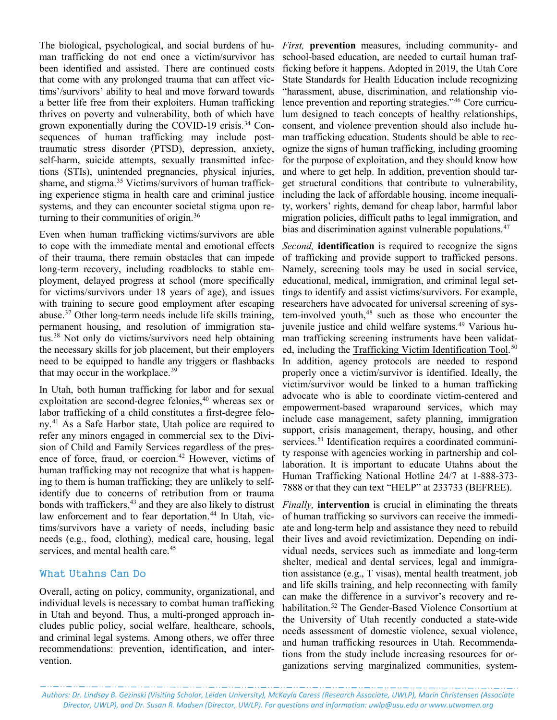The biological, psychological, and social burdens of human trafficking do not end once a victim/survivor has been identified and assisted. There are continued costs that come with any prolonged trauma that can affect victims'/survivors' ability to heal and move forward towards a better life free from their exploiters. Human trafficking thrives on poverty and vulnerability, both of which have grown exponentially during the COVID-19 crisis.<sup>[34](#page-4-21)</sup> Consequences of human trafficking may include posttraumatic stress disorder (PTSD), depression, anxiety, self-harm, suicide attempts, sexually transmitted infections (STIs), unintended pregnancies, physical injuries, shame, and stigma. [35](#page-4-22) Victims/survivors of human trafficking experience stigma in health care and criminal justice systems, and they can encounter societal stigma upon re-turning to their communities of origin.<sup>[36](#page-4-23)</sup>

Even when human trafficking victims/survivors are able to cope with the immediate mental and emotional effects of their trauma, there remain obstacles that can impede long-term recovery, including roadblocks to stable employment, delayed progress at school (more specifically for victims/survivors under 18 years of age), and issues with training to secure good employment after escaping abuse.[37](#page-4-10) Other long-term needs include life skills training, permanent housing, and resolution of immigration sta-tus.<sup>[38](#page-4-24)</sup> Not only do victims/survivors need help obtaining the necessary skills for job placement, but their employers need to be equipped to handle any triggers or flashbacks that may occur in the workplace.<sup>[39](#page-4-25)</sup>

In Utah, both human trafficking for labor and for sexual exploitation are second-degree felonies, [40](#page-4-26) whereas sex or labor trafficking of a child constitutes a first-degree felony.[41](#page-4-13) As a Safe Harbor state, Utah police are required to refer any minors engaged in commercial sex to the Division of Child and Family Services regardless of the presence of force, fraud, or coercion.<sup>42</sup> However, victims of human trafficking may not recognize that what is happening to them is human trafficking; they are unlikely to selfidentify due to concerns of retribution from or trauma bonds with traffickers, [43](#page-4-27) and they are also likely to distrust law enforcement and to fear deportation.<sup>[44](#page-4-28)</sup> In Utah, victims/survivors have a variety of needs, including basic needs (e.g., food, clothing), medical care, housing, legal services, and mental health care.<sup>[45](#page-4-3)</sup>

### What Utahns Can Do

Overall, acting on policy, community, organizational, and individual levels is necessary to combat human trafficking in Utah and beyond. Thus, a multi-pronged approach includes public policy, social welfare, healthcare, schools, and criminal legal systems. Among others, we offer three recommendations: prevention, identification, and intervention.

*First,* **prevention** measures, including community- and school-based education, are needed to curtail human trafficking before it happens. Adopted in 2019, the Utah Core State Standards for Health Education include recognizing "harassment, abuse, discrimination, and relationship violence prevention and reporting strategies."[46](#page-4-29) Core curriculum designed to teach concepts of healthy relationships, consent, and violence prevention should also include human trafficking education. Students should be able to recognize the signs of human trafficking, including grooming for the purpose of exploitation, and they should know how and where to get help. In addition, prevention should target structural conditions that contribute to vulnerability, including the lack of affordable housing, income inequality, workers' rights, demand for cheap labor, harmful labor migration policies, difficult paths to legal immigration, and bias and discrimination against vulnerable populations.<sup>[47](#page-4-4)</sup>

*Second,* **identification** is required to recognize the signs of trafficking and provide support to trafficked persons. Namely, screening tools may be used in social service, educational, medical, immigration, and criminal legal settings to identify and assist victims/survivors. For example, researchers have advocated for universal screening of sys-tem-involved youth,<sup>[48](#page-4-30)</sup> such as those who encounter the juvenile justice and child welfare systems.<sup>[49](#page-4-6)</sup> Various human trafficking screening instruments have been validat-ed, including the [Trafficking Victim Identification Tool.](https://www.vera.org/downloads/publications/human-trafficking-identification-tool-and-user-guidelines.pdf)<sup>[50](#page-4-31)</sup> In addition, agency protocols are needed to respond properly once a victim/survivor is identified. Ideally, the victim/survivor would be linked to a human trafficking advocate who is able to coordinate victim-centered and empowerment-based wraparound services, which may include case management, safety planning, immigration support, crisis management, therapy, housing, and other services.<sup>[51](#page-4-32)</sup> Identification requires a coordinated community response with agencies working in partnership and collaboration. It is important to educate Utahns about the Human Trafficking National Hotline 24/7 at 1-888-373- 7888 or that they can text "HELP" at 233733 (BEFREE).

*Finally,* **intervention** is crucial in eliminating the threats of human trafficking so survivors can receive the immediate and long-term help and assistance they need to rebuild their lives and avoid revictimization. Depending on individual needs, services such as immediate and long-term shelter, medical and dental services, legal and immigration assistance (e.g., T visas), mental health treatment, job and life skills training, and help reconnecting with family can make the difference in a survivor's recovery and re-habilitation.<sup>[52](#page-4-33)</sup> The Gender-Based Violence Consortium at the University of Utah recently conducted a state-wide needs assessment of domestic violence, sexual violence, and human trafficking resources in Utah. Recommendations from the study include increasing resources for organizations serving marginalized communities, system-

*Authors: Dr. Lindsay B. Gezinski (Visiting Scholar, Leiden University), McKayla Caress (Research Associate, UWLP), Marin Christensen (Associate Director, UWLP), and Dr. Susan R. Madsen (Director, UWLP). For questions and information[: uwlp@usu.edu](mailto:uwlp@usu.edu) or [www.utwomen.org](http://www.utwomen.org/)*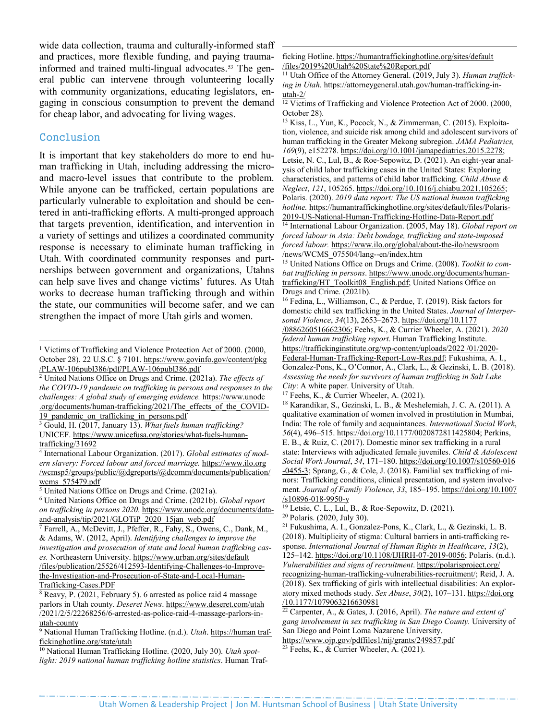wide data collection, trauma and culturally-informed staff and practices, more flexible funding, and paying trauma-informed and trained multi-lingual advocates.<sup>[53](#page-4-34)</sup> The general public can intervene through volunteering locally with community organizations, educating legislators, engaging in conscious consumption to prevent the demand for cheap labor, and advocating for living wages.

#### Conclusion

It is important that key stakeholders do more to end human trafficking in Utah, including addressing the microand macro-level issues that contribute to the problem. While anyone can be trafficked, certain populations are particularly vulnerable to exploitation and should be centered in anti-trafficking efforts. A multi-pronged approach that targets prevention, identification, and intervention in a variety of settings and utilizes a coordinated community response is necessary to eliminate human trafficking in Utah. With coordinated community responses and partnerships between government and organizations, Utahns can help save lives and change victims' futures. As Utah works to decrease human trafficking through and within the state, our communities will become safer, and we can strengthen the impact of more Utah girls and women.

<span id="page-3-2"></span><sup>3</sup> Gould, H. (2017, January 13). *What fuels human trafficking?* UNICEF. [https://www.unicefusa.org/stories/what-fuels-human](https://www.unicefusa.org/stories/what-fuels-human-trafficking/31692)[trafficking/31692](https://www.unicefusa.org/stories/what-fuels-human-trafficking/31692)

 ficking Hotline[. https://humantraffickinghotline.org/sites/default](https://humantraffickinghotline.org/sites/default/files/2019%20Utah%20State%20Report.pdf)  [/files/2019%20Utah%20State%20Report.pdf](https://humantraffickinghotline.org/sites/default/files/2019%20Utah%20State%20Report.pdf)

<sup>11</sup> Utah Office of the Attorney General. (2019, July 3). *Human trafficking in Utah*. [https://attorneygeneral.utah.gov/human-trafficking-in](https://attorneygeneral.utah.gov/human-trafficking-in-utah-2/)[utah-2/](https://attorneygeneral.utah.gov/human-trafficking-in-utah-2/)

<sup>12</sup> Victims of Trafficking and Violence Protection Act of 2000. (2000, October 28).

<sup>13</sup> Kiss, L., Yun, K., Pocock, N., & Zimmerman, C. (2015). Exploitation, violence, and suicide risk among child and adolescent survivors of human trafficking in the Greater Mekong subregion. *JAMA Pediatrics, 169*(9), e152278. [https://doi.org/10.1001/jamapediatrics.2015.2278;](https://doi.org/10.1001/jamapediatrics.2015.2278) Letsie, N. C., Lul, B., & Roe-Sepowitz, D. (2021). An eight-year analysis of child labor trafficking cases in the United States: Exploring characteristics, and patterns of child labor trafficking. *Child Abuse & Neglect*, *121*, 105265. [https://doi.org/10.1016/j.chiabu.2021.105265;](https://doi.org/10.1016/j.chiabu.2021.105265) Polaris. (2020). *2019 data report: The US national human trafficking hotline.* [https://humantraffickinghotline.org/sites/default/files/Polaris-](https://humantraffickinghotline.org/sites/default/files/Polaris-2019-US-National-Human-Trafficking-Hotline-Data-Report.pdf)[2019-US-National-Human-Trafficking-Hotline-Data-Report.pdf](https://humantraffickinghotline.org/sites/default/files/Polaris-2019-US-National-Human-Trafficking-Hotline-Data-Report.pdf) <sup>14</sup> International Labour Organization. (2005, May 18). *Global report on forced labour in Asia: Debt bondage, trafficking and state-imposed forced labour.* [https://www.ilo.org/global/about-the-ilo/newsroom](https://www.ilo.org/global/about-the-ilo/newsroom%20/news/WCMS_075504/lang--en/index.htm) 

[/news/WCMS\\_075504/lang--en/index.htm](https://www.ilo.org/global/about-the-ilo/newsroom%20/news/WCMS_075504/lang--en/index.htm)

<span id="page-3-0"></span><sup>&</sup>lt;sup>1</sup> Victims of Trafficking and Violence Protection Act of 2000. (2000, October 28). 22 U.S.C. § 7101. [https://www.govinfo.gov/content/pkg](https://www.govinfo.gov/content/pkg/PLAW-106publ386/pdf/PLAW-106publ386.pdf)  [/PLAW-106publ386/pdf/PLAW-106publ386.pdf](https://www.govinfo.gov/content/pkg/PLAW-106publ386/pdf/PLAW-106publ386.pdf)

<span id="page-3-1"></span><sup>2</sup> United Nations Office on Drugs and Crime. (2021a). *The effects of the COVID-19 pandemic on trafficking in persons and responses to the challenges: A global study of emerging evidence.* [https://www.unodc](https://www.unodc.org/documents/human-trafficking/2021/The_effects_of_the_COVID-19_pandemic_on_trafficking_in_persons.pdf)  [.org/documents/human-trafficking/2021/The\\_effects\\_of\\_the\\_COVID-](https://www.unodc.org/documents/human-trafficking/2021/The_effects_of_the_COVID-19_pandemic_on_trafficking_in_persons.pdf)19 pandemic on trafficking in persons.pdf

<span id="page-3-3"></span><sup>4</sup> International Labour Organization. (2017). *Global estimates of modern slavery: Forced labour and forced marriage.* https://www.ilo.org /wcmsp5/groups/public/@dgreports/@dcomm/documents/publication/ wcms 575479.pdf

<span id="page-3-4"></span><sup>5</sup> United Nations Office on Drugs and Crime. (2021a).

<span id="page-3-5"></span><sup>6</sup> United Nations Office on Drugs and Crime. (2021b). *Global report on trafficking in persons 2020.* [https://www.unodc.org/documents/data](https://www.unodc.org/documents/data-and-analysis/tip/2021/GLOTiP_2020_15jan_web.pdf)[and-analysis/tip/2021/GLOTiP\\_2020\\_15jan\\_web.pdf](https://www.unodc.org/documents/data-and-analysis/tip/2021/GLOTiP_2020_15jan_web.pdf)

<span id="page-3-6"></span><sup>7</sup> Farrell, A., McDevitt, J., Pfeffer, R., Fahy, S., Owens, C., Dank, M., & Adams, W. (2012, April). *Identifying challenges to improve the investigation and prosecution of state and local human trafficking cases.* Northeastern University. [https://www.urban.org/sites/default](https://www.urban.org/sites/default/files/publication/25526/412593-Identifying-Challenges-to-Improve-the-Investigation-and-Prosecution-of-State-and-Local-Human-Trafficking-Cases.PDF)  [/files/publication/25526/412593-Identifying-Challenges-to-Improve](https://www.urban.org/sites/default/files/publication/25526/412593-Identifying-Challenges-to-Improve-the-Investigation-and-Prosecution-of-State-and-Local-Human-Trafficking-Cases.PDF)[the-Investigation-and-Prosecution-of-State-and-Local-Human-](https://www.urban.org/sites/default/files/publication/25526/412593-Identifying-Challenges-to-Improve-the-Investigation-and-Prosecution-of-State-and-Local-Human-Trafficking-Cases.PDF)[Trafficking-Cases.PDF](https://www.urban.org/sites/default/files/publication/25526/412593-Identifying-Challenges-to-Improve-the-Investigation-and-Prosecution-of-State-and-Local-Human-Trafficking-Cases.PDF)

<span id="page-3-7"></span> $8$  Reavy, P. (2021, February 5). 6 arrested as police raid 4 massage parlors in Utah county. *Deseret News*[. https://www.deseret.com/utah](https://www.deseret.com/utah/2021/2/5/22268256/6-arrested-as-police-raid-4-massage-parlors-in-utah-county)  [/2021/2/5/22268256/6-arrested-as-police-raid-4-massage-parlors-in](https://www.deseret.com/utah/2021/2/5/22268256/6-arrested-as-police-raid-4-massage-parlors-in-utah-county)[utah-county](https://www.deseret.com/utah/2021/2/5/22268256/6-arrested-as-police-raid-4-massage-parlors-in-utah-county)

<span id="page-3-8"></span><sup>9</sup> National Human Trafficking Hotline. (n.d.). *Utah*[. https://human traf](https://humantraffickinghotline.org/state/utah)[fickinghotline.org/state/utah](https://humantraffickinghotline.org/state/utah)

<span id="page-3-9"></span><sup>10</sup> National Human Trafficking Hotline. (2020, July 30). *Utah spotlight: 2019 national human trafficking hotline statistics*. Human Traf-

<sup>15</sup> United Nations Office on Drugs and Crime. (2008). *Toolkit to combat trafficking in persons*. [https://www.unodc.org/documents/human](https://www.unodc.org/documents/human-trafficking/HT_Toolkit08_English.pdf)[trafficking/HT\\_Toolkit08\\_English.pdf;](https://www.unodc.org/documents/human-trafficking/HT_Toolkit08_English.pdf) United Nations Office on Drugs and Crime. (2021b).

<sup>16</sup> Fedina, L., Williamson, C., & Perdue, T. (2019). Risk factors for domestic child sex trafficking in the United States. *Journal of Interpersonal Violence*, *34*(13), 2653–2673. [https://doi.org/10.1177](https://doi.org/10.1177/0886260516662306)  [/0886260516662306;](https://doi.org/10.1177/0886260516662306) Feehs, K., & Currier Wheeler, A. (2021). *2020 federal human trafficking report*. Human Trafficking Institute. [https://traffickinginstitute.org/wp-content/uploads/2022 /01/2020-](https://traffickinginstitute.org/wp-content/uploads/2022/01/2020-Federal-Human-Trafficking-Report-Low-Res.pdf) [Federal-Human-Trafficking-Report-Low-Res.pdf;](https://traffickinginstitute.org/wp-content/uploads/2022/01/2020-Federal-Human-Trafficking-Report-Low-Res.pdf) Fukushima, A. I., Gonzalez-Pons, K., O'Connor, A., Clark, L., & Gezinski, L. B. (2018). *Assessing the needs for survivors of human trafficking in Salt Lake City*: A white paper. University of Utah.

<sup>&</sup>lt;sup>17</sup> Feehs, K., & Currier Wheeler, A. (2021).

<sup>18</sup> Karandikar, S., Gezinski, L. B., & Meshelemiah, J. C. A. (2011). A qualitative examination of women involved in prostitution in Mumbai, India: The role of family and acquaintances. *International Social Work*, *56*(4), 496–515. [https://doi.org/10.1177/0020872811425804;](https://doi.org/10.1177/0020872811425804) Perkins, E. B., & Ruiz, C. (2017). Domestic minor sex trafficking in a rural state: Interviews with adjudicated female juveniles. *Child & Adolescent Social Work Journal*, *34*, 171–180. [https://doi.org/10.1007/s10560-016](https://doi.org/10.1007/s10560-016-0455-3)  [-0455-3;](https://doi.org/10.1007/s10560-016-0455-3) Sprang, G., & Cole, J. (2018). Familial sex trafficking of minors: Trafficking conditions, clinical presentation, and system involvement. *Journal of Family Violence*, *33*, 185–195. [https://doi.org/10.1007](https://doi.org/10.1007/s10896-018-9950-y)  [/s10896-018-9950-y](https://doi.org/10.1007/s10896-018-9950-y)

<sup>19</sup> Letsie, C. L., Lul, B., & Roe-Sepowitz, D. (2021).

<sup>20</sup> Polaris. (2020, July 30).

<sup>21</sup> Fukushima, A. I., Gonzalez-Pons, K., Clark, L., & Gezinski, L. B. (2018). Multiplicity of stigma: Cultural barriers in anti-trafficking response. *International Journal of Human Rights in Healthcare*, *13*(2), 125–142[. https://doi.org/10.1108/IJHRH-07-2019-0056;](https://doi.org/10.1108/IJHRH-07-2019-0056) Polaris. (n.d.)*. Vulnerabilities and signs of recruitment*. [https://polarisproject.org/](https://polarisproject.org/recognizing-human-trafficking-vulnerabilities-recruitment/)  [recognizing-human-trafficking-vulnerabilities-recruitment/;](https://polarisproject.org/recognizing-human-trafficking-vulnerabilities-recruitment/) Reid, J. A. (2018). Sex trafficking of girls with intellectual disabilities: An exploratory mixed methods study. *Sex Abuse*, *30*(2), 107–131. [https://doi.org](https://doi.org/10.1177/1079063216630981)  [/10.1177/1079063216630981](https://doi.org/10.1177/1079063216630981)

<sup>22</sup> Carpenter, A., & Gates, J. (2016, April). *The nature and extent of gang involvement in sex trafficking in San Diego County.* University of San Diego and Point Loma Nazarene University.

<https://www.ojp.gov/pdffiles1/nij/grants/249857.pdf>

<sup>&</sup>lt;sup>23</sup> Feehs, K., & Currier Wheeler, A. (2021).